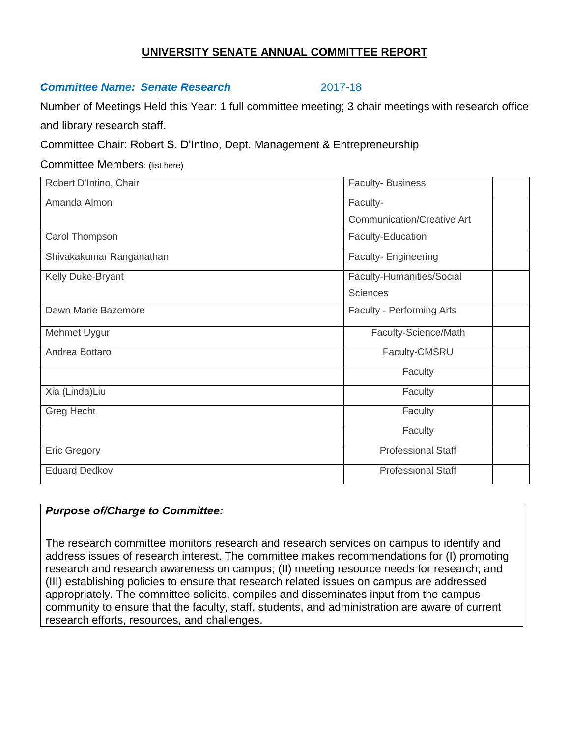#### **UNIVERSITY SENATE ANNUAL COMMITTEE REPORT**

#### *Committee Name: Senate Research* 2017-18

Number of Meetings Held this Year: 1 full committee meeting; 3 chair meetings with research office and library research staff.

Committee Chair: Robert S. D'Intino, Dept. Management & Entrepreneurship

Committee Members: (list here)

| Robert D'Intino, Chair   | Faculty-Business                  |
|--------------------------|-----------------------------------|
| Amanda Almon             | Faculty-                          |
|                          | <b>Communication/Creative Art</b> |
| Carol Thompson           | Faculty-Education                 |
| Shivakakumar Ranganathan | Faculty- Engineering              |
| Kelly Duke-Bryant        | Faculty-Humanities/Social         |
|                          | <b>Sciences</b>                   |
| Dawn Marie Bazemore      | Faculty - Performing Arts         |
| Mehmet Uygur             | Faculty-Science/Math              |
| Andrea Bottaro           | Faculty-CMSRU                     |
|                          | Faculty                           |
| Xia (Linda)Liu           | Faculty                           |
| Greg Hecht               | Faculty                           |
|                          | Faculty                           |
| <b>Eric Gregory</b>      | <b>Professional Staff</b>         |
| <b>Eduard Dedkov</b>     | <b>Professional Staff</b>         |

### *Purpose of/Charge to Committee:*

The research committee monitors research and research services on campus to identify and address issues of research interest. The committee makes recommendations for (I) promoting research and research awareness on campus; (II) meeting resource needs for research; and (III) establishing policies to ensure that research related issues on campus are addressed appropriately. The committee solicits, compiles and disseminates input from the campus community to ensure that the faculty, staff, students, and administration are aware of current research efforts, resources, and challenges.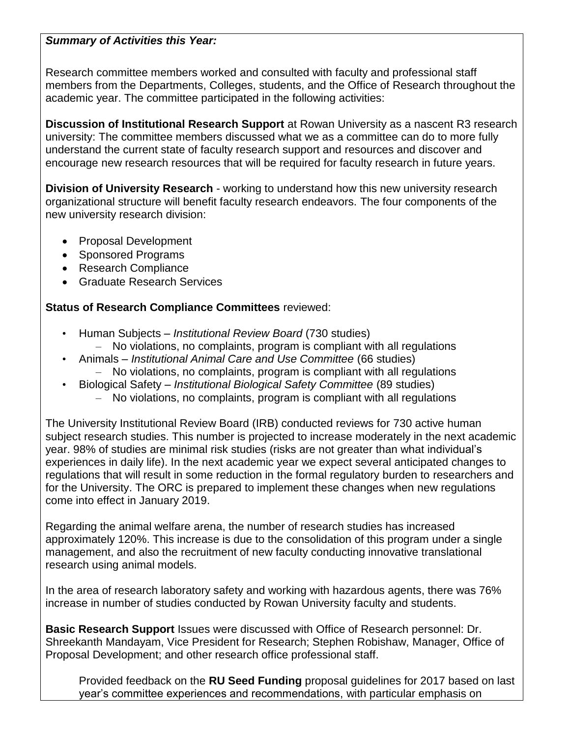### *Summary of Activities this Year:*

Research committee members worked and consulted with faculty and professional staff members from the Departments, Colleges, students, and the Office of Research throughout the academic year. The committee participated in the following activities:

**Discussion of Institutional Research Support** at Rowan University as a nascent R3 research university: The committee members discussed what we as a committee can do to more fully understand the current state of faculty research support and resources and discover and encourage new research resources that will be required for faculty research in future years.

**Division of University Research** - working to understand how this new university research organizational structure will benefit faculty research endeavors. The four components of the new university research division:

- Proposal Development
- Sponsored Programs
- Research Compliance
- Graduate Research Services

## **Status of Research Compliance Committees** reviewed:

- Human Subjects *Institutional Review Board* (730 studies)
	- No violations, no complaints, program is compliant with all regulations
- Animals *Institutional Animal Care and Use Committee* (66 studies) – No violations, no complaints, program is compliant with all regulations
- Biological Safety *Institutional Biological Safety Committee* (89 studies)
	- No violations, no complaints, program is compliant with all regulations

The University Institutional Review Board (IRB) conducted reviews for 730 active human subject research studies. This number is projected to increase moderately in the next academic year. 98% of studies are minimal risk studies (risks are not greater than what individual's experiences in daily life). In the next academic year we expect several anticipated changes to regulations that will result in some reduction in the formal regulatory burden to researchers and for the University. The ORC is prepared to implement these changes when new regulations come into effect in January 2019.

Regarding the animal welfare arena, the number of research studies has increased approximately 120%. This increase is due to the consolidation of this program under a single management, and also the recruitment of new faculty conducting innovative translational research using animal models.

In the area of research laboratory safety and working with hazardous agents, there was 76% increase in number of studies conducted by Rowan University faculty and students.

**Basic Research Support** Issues were discussed with Office of Research personnel: Dr. Shreekanth Mandayam, Vice President for Research; Stephen Robishaw, Manager, Office of Proposal Development; and other research office professional staff.

Provided feedback on the **RU Seed Funding** proposal guidelines for 2017 based on last year's committee experiences and recommendations, with particular emphasis on